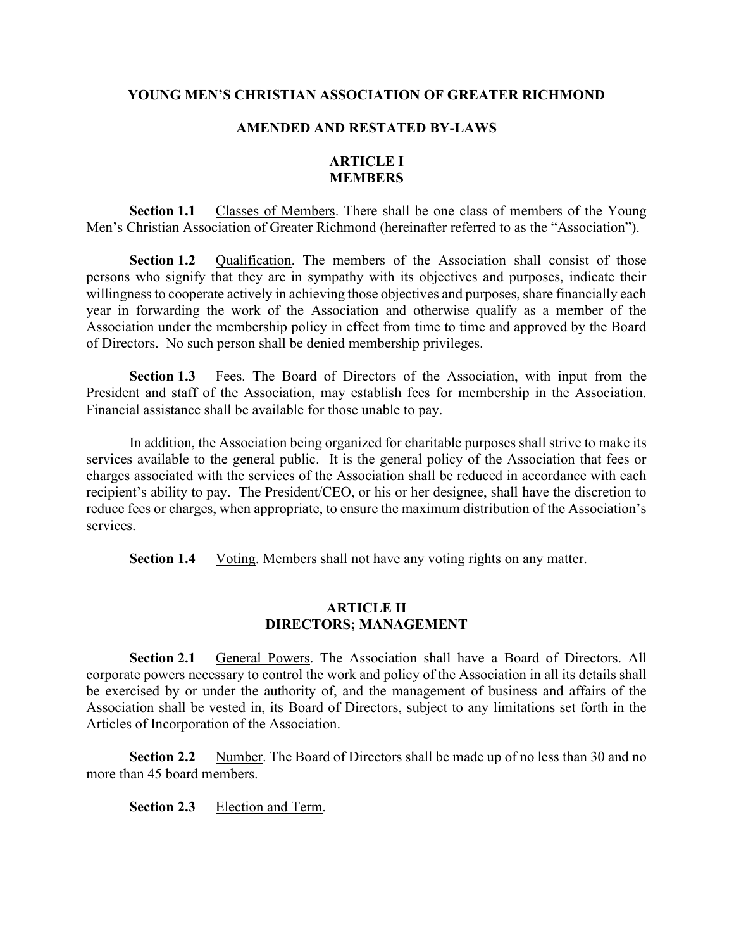#### YOUNG MEN'S CHRISTIAN ASSOCIATION OF GREATER RICHMOND

#### AMENDED AND RESTATED BY-LAWS

# ARTICLE I MEMBERS

Section 1.1 Classes of Members. There shall be one class of members of the Young Men's Christian Association of Greater Richmond (hereinafter referred to as the "Association").

Section 1.2 Qualification. The members of the Association shall consist of those persons who signify that they are in sympathy with its objectives and purposes, indicate their willingness to cooperate actively in achieving those objectives and purposes, share financially each year in forwarding the work of the Association and otherwise qualify as a member of the Association under the membership policy in effect from time to time and approved by the Board of Directors. No such person shall be denied membership privileges.

Section 1.3 Fees. The Board of Directors of the Association, with input from the President and staff of the Association, may establish fees for membership in the Association. Financial assistance shall be available for those unable to pay.

In addition, the Association being organized for charitable purposes shall strive to make its services available to the general public. It is the general policy of the Association that fees or charges associated with the services of the Association shall be reduced in accordance with each recipient's ability to pay. The President/CEO, or his or her designee, shall have the discretion to reduce fees or charges, when appropriate, to ensure the maximum distribution of the Association's services.

Section 1.4 Voting. Members shall not have any voting rights on any matter.

## ARTICLE II DIRECTORS; MANAGEMENT

Section 2.1 General Powers. The Association shall have a Board of Directors. All corporate powers necessary to control the work and policy of the Association in all its details shall be exercised by or under the authority of, and the management of business and affairs of the Association shall be vested in, its Board of Directors, subject to any limitations set forth in the Articles of Incorporation of the Association.

Section 2.2 Number. The Board of Directors shall be made up of no less than 30 and no more than 45 board members.

Section 2.3 Election and Term.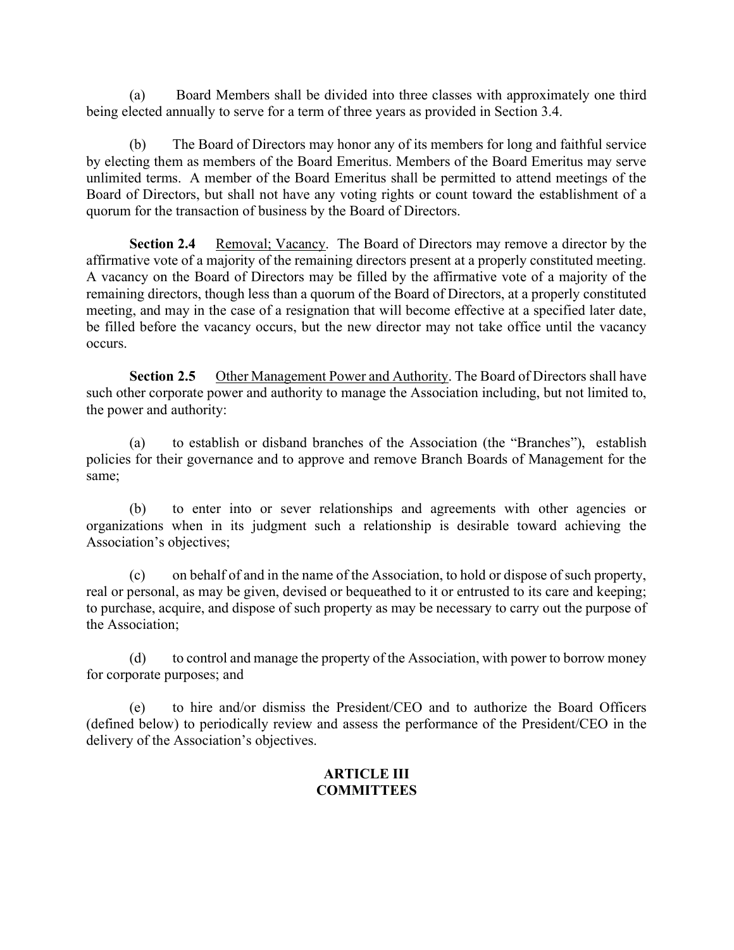(a) Board Members shall be divided into three classes with approximately one third being elected annually to serve for a term of three years as provided in Section 3.4.

The Board of Directors may honor any of its members for long and faithful service by electing them as members of the Board Emeritus. Members of the Board Emeritus may serve unlimited terms. A member of the Board Emeritus shall be permitted to attend meetings of the Board of Directors, but shall not have any voting rights or count toward the establishment of a quorum for the transaction of business by the Board of Directors.

Section 2.4 Removal; Vacancy. The Board of Directors may remove a director by the affirmative vote of a majority of the remaining directors present at a properly constituted meeting. A vacancy on the Board of Directors may be filled by the affirmative vote of a majority of the remaining directors, though less than a quorum of the Board of Directors, at a properly constituted meeting, and may in the case of a resignation that will become effective at a specified later date, be filled before the vacancy occurs, but the new director may not take office until the vacancy occurs.

Section 2.5 Other Management Power and Authority. The Board of Directors shall have such other corporate power and authority to manage the Association including, but not limited to, the power and authority:

(a) to establish or disband branches of the Association (the "Branches"), establish policies for their governance and to approve and remove Branch Boards of Management for the same;

(b) to enter into or sever relationships and agreements with other agencies or organizations when in its judgment such a relationship is desirable toward achieving the Association's objectives;

(c) on behalf of and in the name of the Association, to hold or dispose of such property, real or personal, as may be given, devised or bequeathed to it or entrusted to its care and keeping; to purchase, acquire, and dispose of such property as may be necessary to carry out the purpose of the Association;

(d) to control and manage the property of the Association, with power to borrow money for corporate purposes; and

(e) to hire and/or dismiss the President/CEO and to authorize the Board Officers (defined below) to periodically review and assess the performance of the President/CEO in the delivery of the Association's objectives.

# ARTICLE III **COMMITTEES**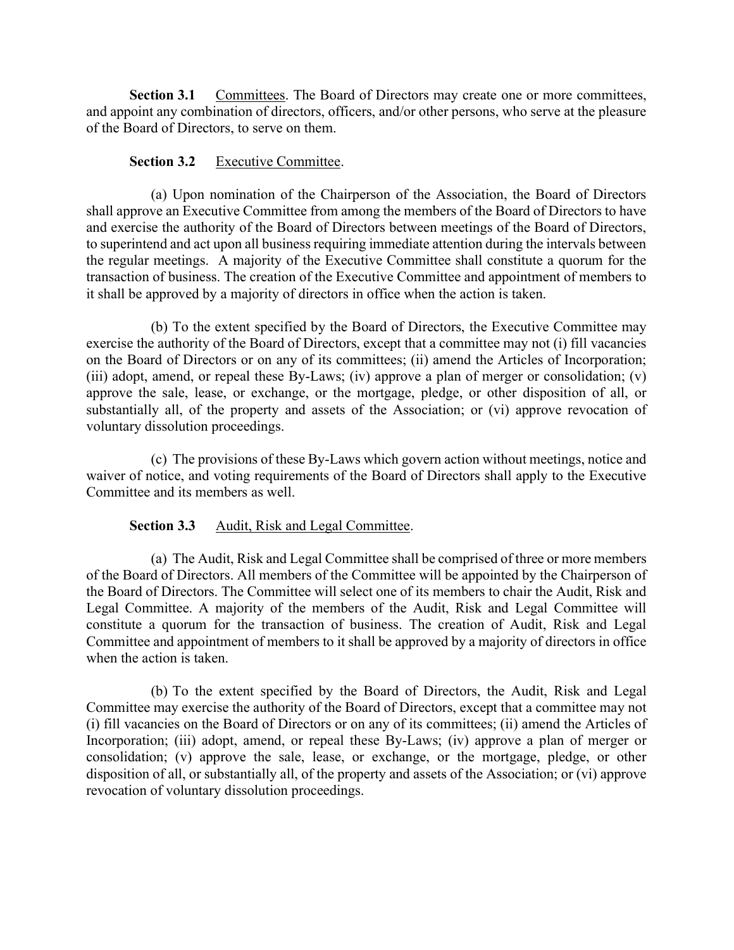Section 3.1 Committees. The Board of Directors may create one or more committees, and appoint any combination of directors, officers, and/or other persons, who serve at the pleasure of the Board of Directors, to serve on them.

#### Section 3.2 Executive Committee.

(a) Upon nomination of the Chairperson of the Association, the Board of Directors shall approve an Executive Committee from among the members of the Board of Directors to have and exercise the authority of the Board of Directors between meetings of the Board of Directors, to superintend and act upon all business requiring immediate attention during the intervals between the regular meetings. A majority of the Executive Committee shall constitute a quorum for the transaction of business. The creation of the Executive Committee and appointment of members to it shall be approved by a majority of directors in office when the action is taken.

(b) To the extent specified by the Board of Directors, the Executive Committee may exercise the authority of the Board of Directors, except that a committee may not (i) fill vacancies on the Board of Directors or on any of its committees; (ii) amend the Articles of Incorporation; (iii) adopt, amend, or repeal these By-Laws; (iv) approve a plan of merger or consolidation; (v) approve the sale, lease, or exchange, or the mortgage, pledge, or other disposition of all, or substantially all, of the property and assets of the Association; or (vi) approve revocation of voluntary dissolution proceedings.

(c) The provisions of these By-Laws which govern action without meetings, notice and waiver of notice, and voting requirements of the Board of Directors shall apply to the Executive Committee and its members as well.

## Section 3.3 Audit, Risk and Legal Committee.

(a) The Audit, Risk and Legal Committee shall be comprised of three or more members of the Board of Directors. All members of the Committee will be appointed by the Chairperson of the Board of Directors. The Committee will select one of its members to chair the Audit, Risk and Legal Committee. A majority of the members of the Audit, Risk and Legal Committee will constitute a quorum for the transaction of business. The creation of Audit, Risk and Legal Committee and appointment of members to it shall be approved by a majority of directors in office when the action is taken.

(b) To the extent specified by the Board of Directors, the Audit, Risk and Legal Committee may exercise the authority of the Board of Directors, except that a committee may not (i) fill vacancies on the Board of Directors or on any of its committees; (ii) amend the Articles of Incorporation; (iii) adopt, amend, or repeal these By-Laws; (iv) approve a plan of merger or consolidation; (v) approve the sale, lease, or exchange, or the mortgage, pledge, or other disposition of all, or substantially all, of the property and assets of the Association; or (vi) approve revocation of voluntary dissolution proceedings.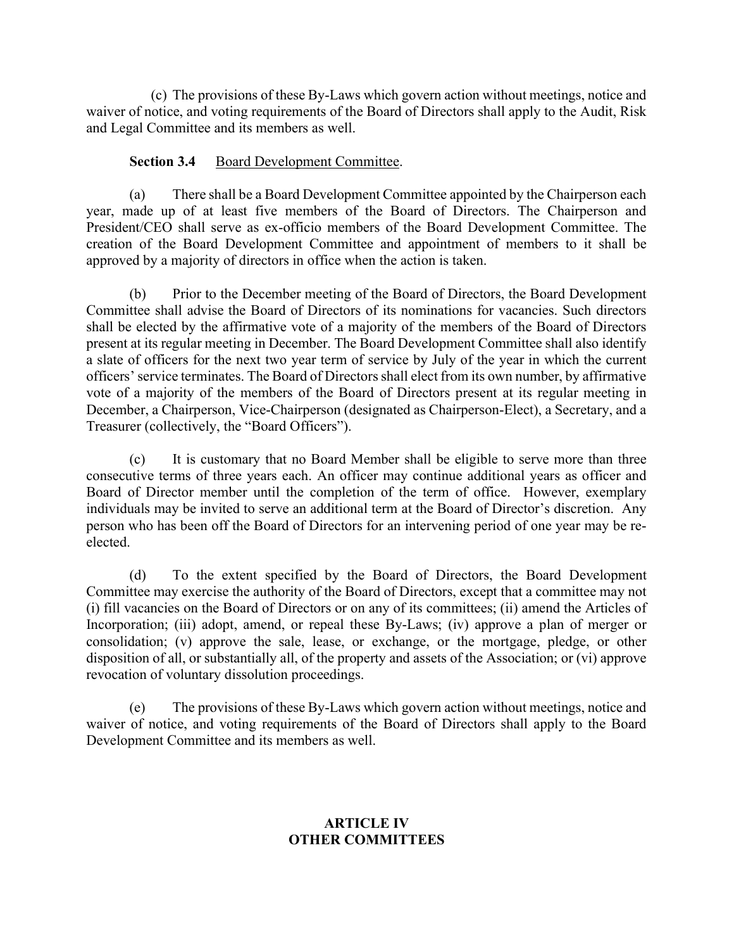(c) The provisions of these By-Laws which govern action without meetings, notice and waiver of notice, and voting requirements of the Board of Directors shall apply to the Audit, Risk and Legal Committee and its members as well.

#### Section 3.4 Board Development Committee.

(a) There shall be a Board Development Committee appointed by the Chairperson each year, made up of at least five members of the Board of Directors. The Chairperson and President/CEO shall serve as ex-officio members of the Board Development Committee. The creation of the Board Development Committee and appointment of members to it shall be approved by a majority of directors in office when the action is taken.

(b) Prior to the December meeting of the Board of Directors, the Board Development Committee shall advise the Board of Directors of its nominations for vacancies. Such directors shall be elected by the affirmative vote of a majority of the members of the Board of Directors present at its regular meeting in December. The Board Development Committee shall also identify a slate of officers for the next two year term of service by July of the year in which the current officers' service terminates. The Board of Directors shall elect from its own number, by affirmative vote of a majority of the members of the Board of Directors present at its regular meeting in December, a Chairperson, Vice-Chairperson (designated as Chairperson-Elect), a Secretary, and a Treasurer (collectively, the "Board Officers").

(c) It is customary that no Board Member shall be eligible to serve more than three consecutive terms of three years each. An officer may continue additional years as officer and Board of Director member until the completion of the term of office. However, exemplary individuals may be invited to serve an additional term at the Board of Director's discretion. Any person who has been off the Board of Directors for an intervening period of one year may be reelected.

(d) To the extent specified by the Board of Directors, the Board Development Committee may exercise the authority of the Board of Directors, except that a committee may not (i) fill vacancies on the Board of Directors or on any of its committees; (ii) amend the Articles of Incorporation; (iii) adopt, amend, or repeal these By-Laws; (iv) approve a plan of merger or consolidation; (v) approve the sale, lease, or exchange, or the mortgage, pledge, or other disposition of all, or substantially all, of the property and assets of the Association; or (vi) approve revocation of voluntary dissolution proceedings.

(e) The provisions of these By-Laws which govern action without meetings, notice and waiver of notice, and voting requirements of the Board of Directors shall apply to the Board Development Committee and its members as well.

# ARTICLE IV OTHER COMMITTEES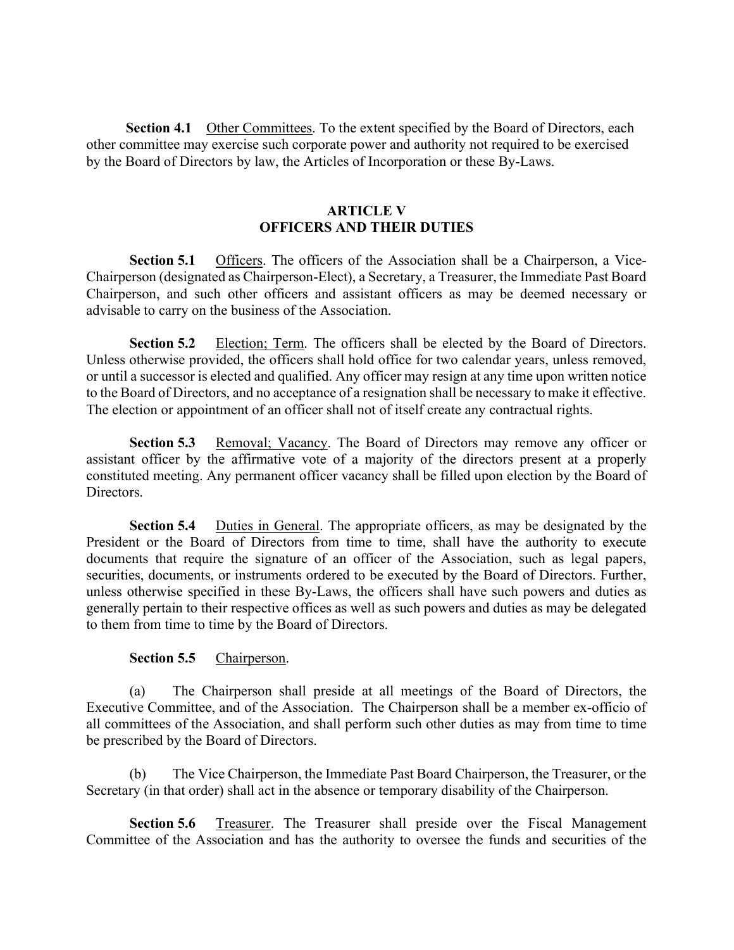Section 4.1 Other Committees. To the extent specified by the Board of Directors, each other committee may exercise such corporate power and authority not required to be exercised by the Board of Directors by law, the Articles of Incorporation or these By-Laws.

## ARTICLE V OFFICERS AND THEIR DUTIES

Section 5.1 Officers. The officers of the Association shall be a Chairperson, a Vice-Chairperson (designated as Chairperson-Elect), a Secretary, a Treasurer, the Immediate Past Board Chairperson, and such other officers and assistant officers as may be deemed necessary or advisable to carry on the business of the Association.

Section 5.2 Election; Term. The officers shall be elected by the Board of Directors. Unless otherwise provided, the officers shall hold office for two calendar years, unless removed, or until a successor is elected and qualified. Any officer may resign at any time upon written notice to the Board of Directors, and no acceptance of a resignation shall be necessary to make it effective. The election or appointment of an officer shall not of itself create any contractual rights.

Section 5.3 Removal; Vacancy. The Board of Directors may remove any officer or assistant officer by the affirmative vote of a majority of the directors present at a properly constituted meeting. Any permanent officer vacancy shall be filled upon election by the Board of Directors.

Section 5.4 Duties in General. The appropriate officers, as may be designated by the President or the Board of Directors from time to time, shall have the authority to execute documents that require the signature of an officer of the Association, such as legal papers, securities, documents, or instruments ordered to be executed by the Board of Directors. Further, unless otherwise specified in these By-Laws, the officers shall have such powers and duties as generally pertain to their respective offices as well as such powers and duties as may be delegated to them from time to time by the Board of Directors.

## Section 5.5 Chairperson.

(a) The Chairperson shall preside at all meetings of the Board of Directors, the Executive Committee, and of the Association. The Chairperson shall be a member ex-officio of all committees of the Association, and shall perform such other duties as may from time to time be prescribed by the Board of Directors.

(b) The Vice Chairperson, the Immediate Past Board Chairperson, the Treasurer, or the Secretary (in that order) shall act in the absence or temporary disability of the Chairperson.

Section 5.6 Treasurer. The Treasurer shall preside over the Fiscal Management Committee of the Association and has the authority to oversee the funds and securities of the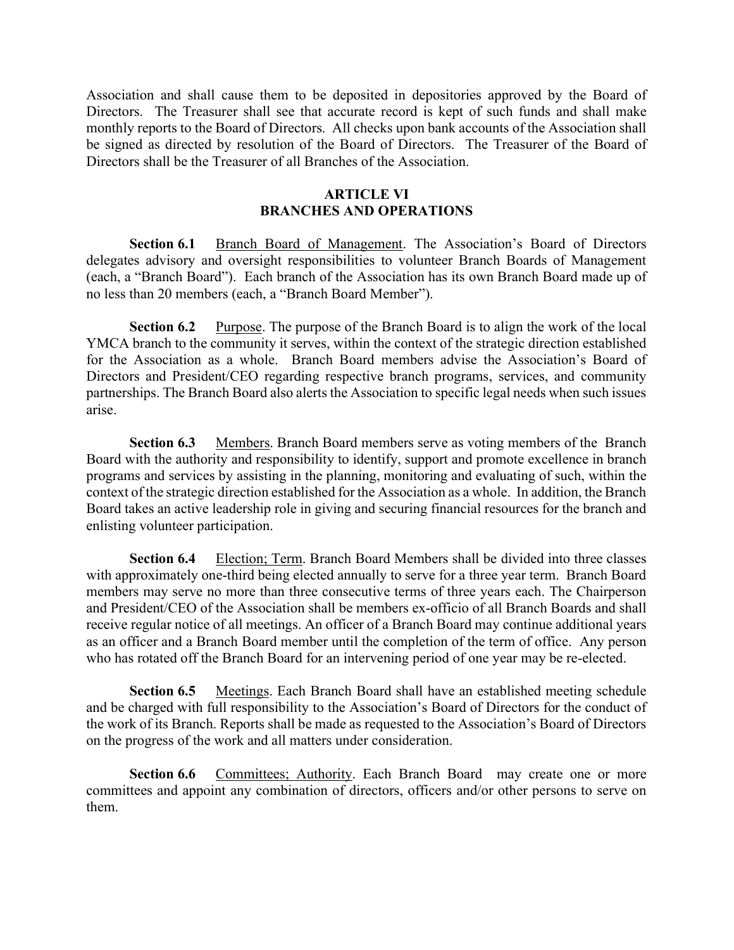Association and shall cause them to be deposited in depositories approved by the Board of Directors. The Treasurer shall see that accurate record is kept of such funds and shall make monthly reports to the Board of Directors. All checks upon bank accounts of the Association shall be signed as directed by resolution of the Board of Directors. The Treasurer of the Board of Directors shall be the Treasurer of all Branches of the Association.

# ARTICLE VI BRANCHES AND OPERATIONS

Section 6.1 Branch Board of Management. The Association's Board of Directors delegates advisory and oversight responsibilities to volunteer Branch Boards of Management (each, a "Branch Board"). Each branch of the Association has its own Branch Board made up of no less than 20 members (each, a "Branch Board Member").

Section 6.2 Purpose. The purpose of the Branch Board is to align the work of the local YMCA branch to the community it serves, within the context of the strategic direction established for the Association as a whole. Branch Board members advise the Association's Board of Directors and President/CEO regarding respective branch programs, services, and community partnerships. The Branch Board also alerts the Association to specific legal needs when such issues arise.

Section 6.3 Members. Branch Board members serve as voting members of the Branch Board with the authority and responsibility to identify, support and promote excellence in branch programs and services by assisting in the planning, monitoring and evaluating of such, within the context of the strategic direction established for the Association as a whole. In addition, the Branch Board takes an active leadership role in giving and securing financial resources for the branch and enlisting volunteer participation.

Section 6.4 Election; Term. Branch Board Members shall be divided into three classes with approximately one-third being elected annually to serve for a three year term. Branch Board members may serve no more than three consecutive terms of three years each. The Chairperson and President/CEO of the Association shall be members ex-officio of all Branch Boards and shall receive regular notice of all meetings. An officer of a Branch Board may continue additional years as an officer and a Branch Board member until the completion of the term of office. Any person who has rotated off the Branch Board for an intervening period of one year may be re-elected.

Section 6.5 Meetings. Each Branch Board shall have an established meeting schedule and be charged with full responsibility to the Association's Board of Directors for the conduct of the work of its Branch. Reports shall be made as requested to the Association's Board of Directors on the progress of the work and all matters under consideration.

Section 6.6 Committees; Authority. Each Branch Board may create one or more committees and appoint any combination of directors, officers and/or other persons to serve on them.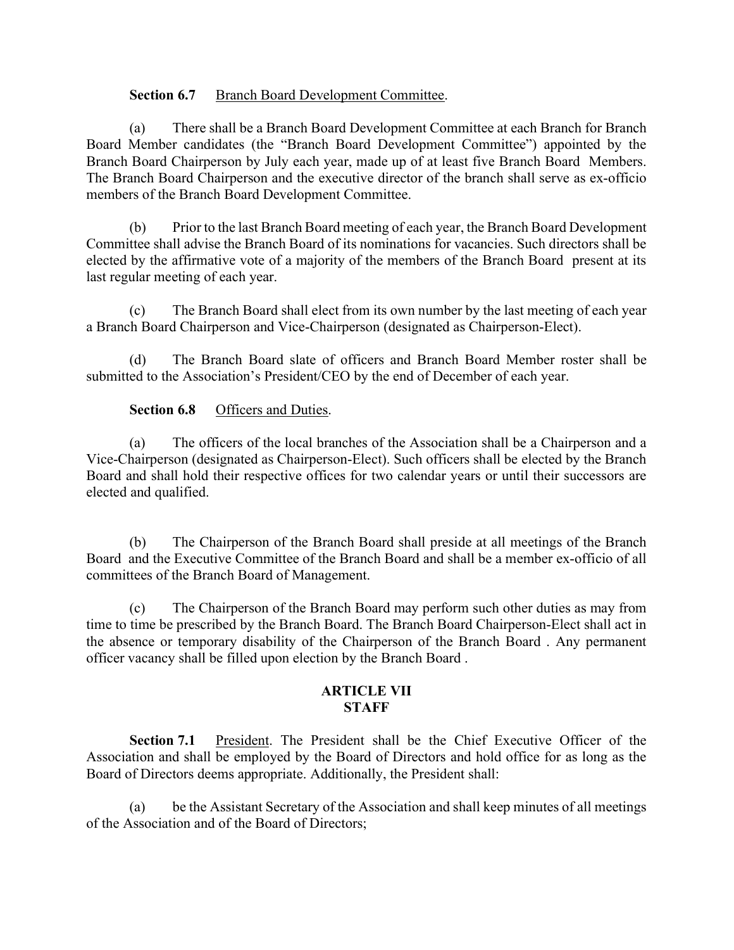## Section 6.7 Branch Board Development Committee.

(a) There shall be a Branch Board Development Committee at each Branch for Branch Board Member candidates (the "Branch Board Development Committee") appointed by the Branch Board Chairperson by July each year, made up of at least five Branch Board Members. The Branch Board Chairperson and the executive director of the branch shall serve as ex-officio members of the Branch Board Development Committee.

(b) Prior to the last Branch Board meeting of each year, the Branch Board Development Committee shall advise the Branch Board of its nominations for vacancies. Such directors shall be elected by the affirmative vote of a majority of the members of the Branch Board present at its last regular meeting of each year.

(c) The Branch Board shall elect from its own number by the last meeting of each year a Branch Board Chairperson and Vice-Chairperson (designated as Chairperson-Elect).

(d) The Branch Board slate of officers and Branch Board Member roster shall be submitted to the Association's President/CEO by the end of December of each year.

# Section 6.8 Officers and Duties.

(a) The officers of the local branches of the Association shall be a Chairperson and a Vice-Chairperson (designated as Chairperson-Elect). Such officers shall be elected by the Branch Board and shall hold their respective offices for two calendar years or until their successors are elected and qualified.

(b) The Chairperson of the Branch Board shall preside at all meetings of the Branch Board and the Executive Committee of the Branch Board and shall be a member ex-officio of all committees of the Branch Board of Management.

(c) The Chairperson of the Branch Board may perform such other duties as may from time to time be prescribed by the Branch Board. The Branch Board Chairperson-Elect shall act in the absence or temporary disability of the Chairperson of the Branch Board . Any permanent officer vacancy shall be filled upon election by the Branch Board .

## ARTICLE VII STAFF

Section 7.1 President. The President shall be the Chief Executive Officer of the Association and shall be employed by the Board of Directors and hold office for as long as the Board of Directors deems appropriate. Additionally, the President shall:

be the Assistant Secretary of the Association and shall keep minutes of all meetings of the Association and of the Board of Directors;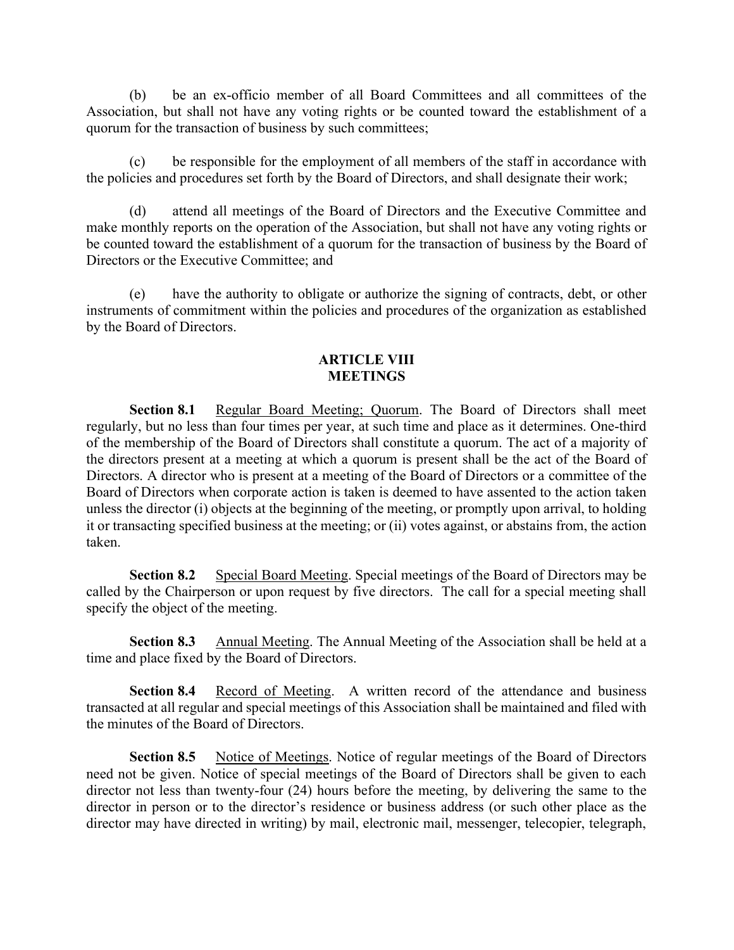(b) be an ex-officio member of all Board Committees and all committees of the Association, but shall not have any voting rights or be counted toward the establishment of a quorum for the transaction of business by such committees;

(c) be responsible for the employment of all members of the staff in accordance with the policies and procedures set forth by the Board of Directors, and shall designate their work;

(d) attend all meetings of the Board of Directors and the Executive Committee and make monthly reports on the operation of the Association, but shall not have any voting rights or be counted toward the establishment of a quorum for the transaction of business by the Board of Directors or the Executive Committee; and

(e) have the authority to obligate or authorize the signing of contracts, debt, or other instruments of commitment within the policies and procedures of the organization as established by the Board of Directors.

# ARTICLE VIII MEETINGS

Section 8.1 Regular Board Meeting; Quorum. The Board of Directors shall meet regularly, but no less than four times per year, at such time and place as it determines. One-third of the membership of the Board of Directors shall constitute a quorum. The act of a majority of the directors present at a meeting at which a quorum is present shall be the act of the Board of Directors. A director who is present at a meeting of the Board of Directors or a committee of the Board of Directors when corporate action is taken is deemed to have assented to the action taken unless the director (i) objects at the beginning of the meeting, or promptly upon arrival, to holding it or transacting specified business at the meeting; or (ii) votes against, or abstains from, the action taken.

Section 8.2 Special Board Meeting. Special meetings of the Board of Directors may be called by the Chairperson or upon request by five directors. The call for a special meeting shall specify the object of the meeting.

Section 8.3 Annual Meeting. The Annual Meeting of the Association shall be held at a time and place fixed by the Board of Directors.

Section 8.4 Record of Meeting. A written record of the attendance and business transacted at all regular and special meetings of this Association shall be maintained and filed with the minutes of the Board of Directors.

Section 8.5 Notice of Meetings. Notice of regular meetings of the Board of Directors need not be given. Notice of special meetings of the Board of Directors shall be given to each director not less than twenty-four (24) hours before the meeting, by delivering the same to the director in person or to the director's residence or business address (or such other place as the director may have directed in writing) by mail, electronic mail, messenger, telecopier, telegraph,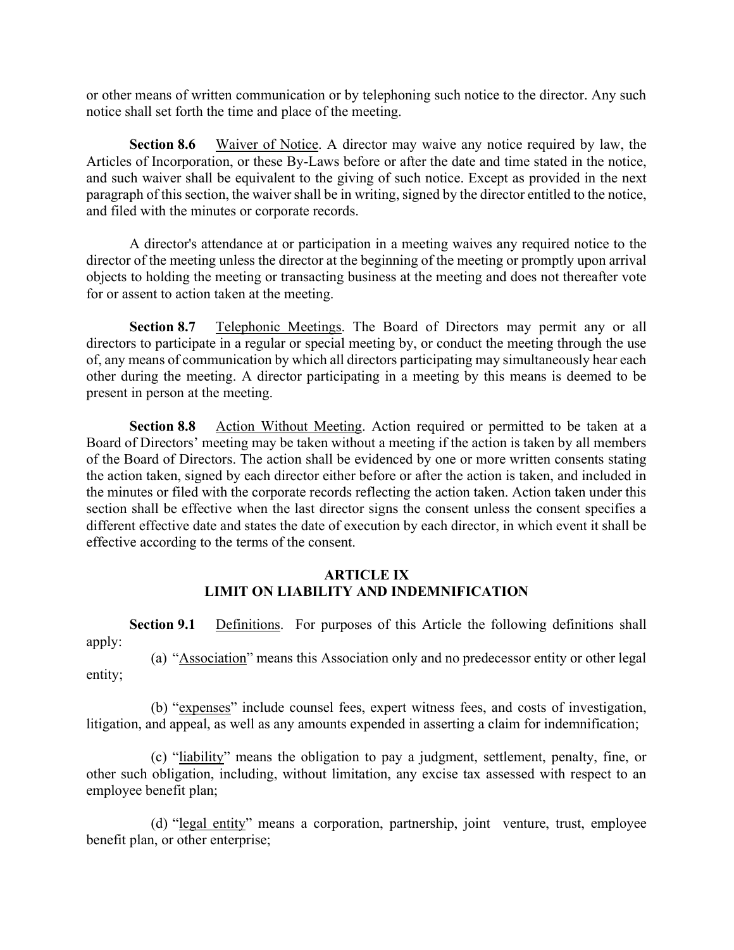or other means of written communication or by telephoning such notice to the director. Any such notice shall set forth the time and place of the meeting.

Section 8.6 Waiver of Notice. A director may waive any notice required by law, the Articles of Incorporation, or these By-Laws before or after the date and time stated in the notice, and such waiver shall be equivalent to the giving of such notice. Except as provided in the next paragraph of this section, the waiver shall be in writing, signed by the director entitled to the notice, and filed with the minutes or corporate records.

A director's attendance at or participation in a meeting waives any required notice to the director of the meeting unless the director at the beginning of the meeting or promptly upon arrival objects to holding the meeting or transacting business at the meeting and does not thereafter vote for or assent to action taken at the meeting.

Section 8.7 Telephonic Meetings. The Board of Directors may permit any or all directors to participate in a regular or special meeting by, or conduct the meeting through the use of, any means of communication by which all directors participating may simultaneously hear each other during the meeting. A director participating in a meeting by this means is deemed to be present in person at the meeting.

Section 8.8 Action Without Meeting. Action required or permitted to be taken at a Board of Directors' meeting may be taken without a meeting if the action is taken by all members of the Board of Directors. The action shall be evidenced by one or more written consents stating the action taken, signed by each director either before or after the action is taken, and included in the minutes or filed with the corporate records reflecting the action taken. Action taken under this section shall be effective when the last director signs the consent unless the consent specifies a different effective date and states the date of execution by each director, in which event it shall be effective according to the terms of the consent.

# ARTICLE IX LIMIT ON LIABILITY AND INDEMNIFICATION

Section 9.1 Definitions. For purposes of this Article the following definitions shall apply:

(a) "Association" means this Association only and no predecessor entity or other legal entity;

(b) "expenses" include counsel fees, expert witness fees, and costs of investigation, litigation, and appeal, as well as any amounts expended in asserting a claim for indemnification;

(c) "liability" means the obligation to pay a judgment, settlement, penalty, fine, or other such obligation, including, without limitation, any excise tax assessed with respect to an employee benefit plan;

(d) "legal entity" means a corporation, partnership, joint venture, trust, employee benefit plan, or other enterprise;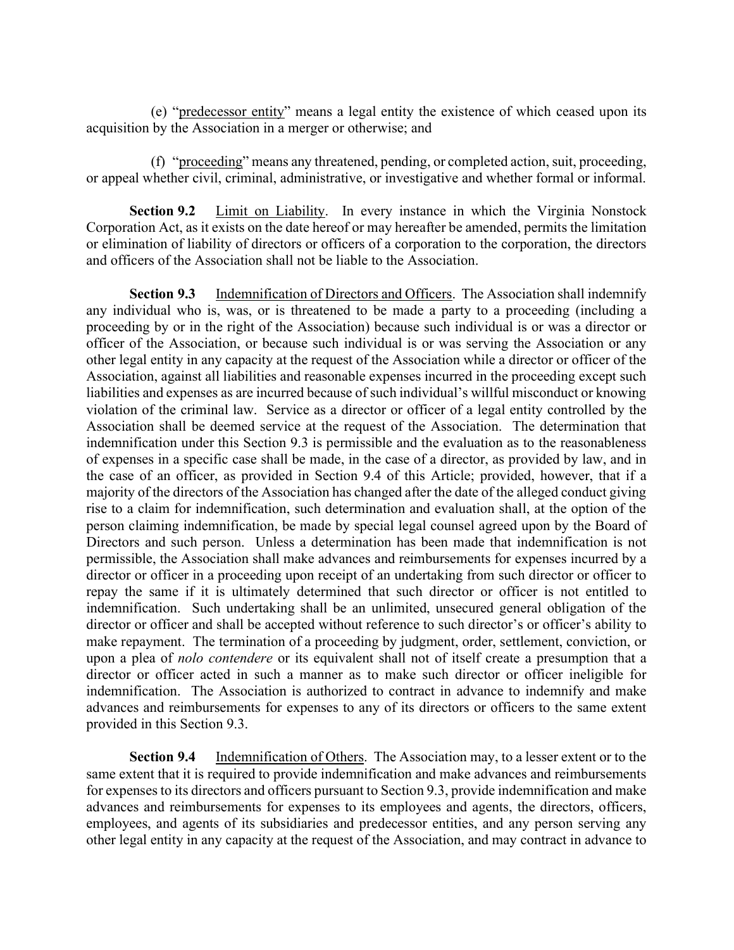(e) "predecessor entity" means a legal entity the existence of which ceased upon its acquisition by the Association in a merger or otherwise; and

(f) "proceeding" means any threatened, pending, or completed action, suit, proceeding, or appeal whether civil, criminal, administrative, or investigative and whether formal or informal.

Section 9.2 Limit on Liability. In every instance in which the Virginia Nonstock Corporation Act, as it exists on the date hereof or may hereafter be amended, permits the limitation or elimination of liability of directors or officers of a corporation to the corporation, the directors and officers of the Association shall not be liable to the Association.

Section 9.3 Indemnification of Directors and Officers. The Association shall indemnify any individual who is, was, or is threatened to be made a party to a proceeding (including a proceeding by or in the right of the Association) because such individual is or was a director or officer of the Association, or because such individual is or was serving the Association or any other legal entity in any capacity at the request of the Association while a director or officer of the Association, against all liabilities and reasonable expenses incurred in the proceeding except such liabilities and expenses as are incurred because of such individual's willful misconduct or knowing violation of the criminal law. Service as a director or officer of a legal entity controlled by the Association shall be deemed service at the request of the Association. The determination that indemnification under this Section 9.3 is permissible and the evaluation as to the reasonableness of expenses in a specific case shall be made, in the case of a director, as provided by law, and in the case of an officer, as provided in Section 9.4 of this Article; provided, however, that if a majority of the directors of the Association has changed after the date of the alleged conduct giving rise to a claim for indemnification, such determination and evaluation shall, at the option of the person claiming indemnification, be made by special legal counsel agreed upon by the Board of Directors and such person. Unless a determination has been made that indemnification is not permissible, the Association shall make advances and reimbursements for expenses incurred by a director or officer in a proceeding upon receipt of an undertaking from such director or officer to repay the same if it is ultimately determined that such director or officer is not entitled to indemnification. Such undertaking shall be an unlimited, unsecured general obligation of the director or officer and shall be accepted without reference to such director's or officer's ability to make repayment. The termination of a proceeding by judgment, order, settlement, conviction, or upon a plea of nolo contendere or its equivalent shall not of itself create a presumption that a director or officer acted in such a manner as to make such director or officer ineligible for indemnification. The Association is authorized to contract in advance to indemnify and make advances and reimbursements for expenses to any of its directors or officers to the same extent provided in this Section 9.3.

Section 9.4 Indemnification of Others. The Association may, to a lesser extent or to the same extent that it is required to provide indemnification and make advances and reimbursements for expenses to its directors and officers pursuant to Section 9.3, provide indemnification and make advances and reimbursements for expenses to its employees and agents, the directors, officers, employees, and agents of its subsidiaries and predecessor entities, and any person serving any other legal entity in any capacity at the request of the Association, and may contract in advance to